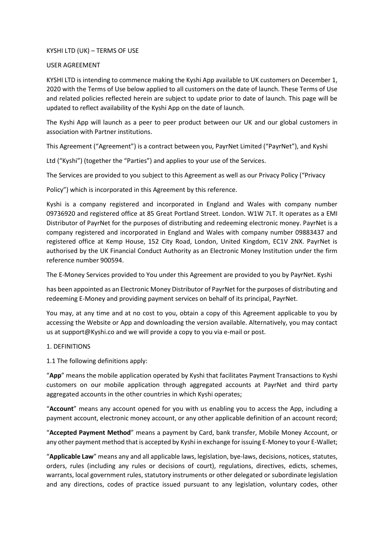# KYSHI LTD (UK) – TERMS OF USE

## USER AGREEMENT

KYSHI LTD is intending to commence making the Kyshi App available to UK customers on December 1, 2020 with the Terms of Use below applied to all customers on the date of launch. These Terms of Use and related policies reflected herein are subject to update prior to date of launch. This page will be updated to reflect availability of the Kyshi App on the date of launch.

The Kyshi App will launch as a peer to peer product between our UK and our global customers in association with Partner institutions.

This Agreement ("Agreement") is a contract between you, PayrNet Limited ("PayrNet"), and Kyshi

Ltd ("Kyshi") (together the "Parties") and applies to your use of the Services.

The Services are provided to you subject to this Agreement as well as our Privacy Policy ("Privacy

Policy") which is incorporated in this Agreement by this reference.

Kyshi is a company registered and incorporated in England and Wales with company number 09736920 and registered office at 85 Great Portland Street. London. W1W 7LT. It operates as a EMI Distributor of PayrNet for the purposes of distributing and redeeming electronic money. PayrNet is a company registered and incorporated in England and Wales with company number 09883437 and registered office at Kemp House, 152 City Road, London, United Kingdom, EC1V 2NX. PayrNet is authorised by the UK Financial Conduct Authority as an Electronic Money Institution under the firm reference number 900594.

The E-Money Services provided to You under this Agreement are provided to you by PayrNet. Kyshi

has been appointed as an Electronic Money Distributor of PayrNet for the purposes of distributing and redeeming E-Money and providing payment services on behalf of its principal, PayrNet.

You may, at any time and at no cost to you, obtain a copy of this Agreement applicable to you by accessing the Website or App and downloading the version available. Alternatively, you may contact us at support@Kyshi.co and we will provide a copy to you via e-mail or post.

# 1. DEFINITIONS

1.1 The following definitions apply:

"**App**" means the mobile application operated by Kyshi that facilitates Payment Transactions to Kyshi customers on our mobile application through aggregated accounts at PayrNet and third party aggregated accounts in the other countries in which Kyshi operates;

"**Account**" means any account opened for you with us enabling you to access the App, including a payment account, electronic money account, or any other applicable definition of an account record;

"**Accepted Payment Method**" means a payment by Card, bank transfer, Mobile Money Account, or any other payment method that is accepted by Kyshi in exchange for issuing E-Money to your E-Wallet;

"**Applicable Law**" means any and all applicable laws, legislation, bye-laws, decisions, notices, statutes, orders, rules (including any rules or decisions of court), regulations, directives, edicts, schemes, warrants, local government rules, statutory instruments or other delegated or subordinate legislation and any directions, codes of practice issued pursuant to any legislation, voluntary codes, other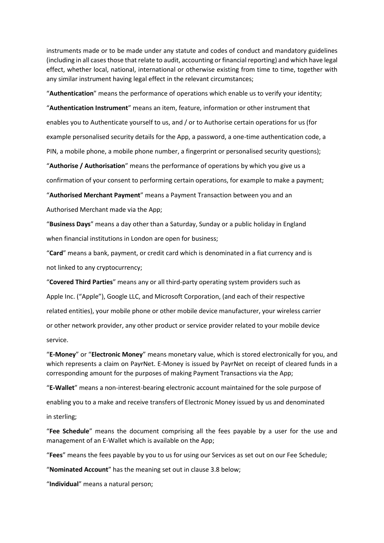instruments made or to be made under any statute and codes of conduct and mandatory guidelines (including in all cases those that relate to audit, accounting or financial reporting) and which have legal effect, whether local, national, international or otherwise existing from time to time, together with any similar instrument having legal effect in the relevant circumstances;

"**Authentication**" means the performance of operations which enable us to verify your identity;

"**Authentication Instrument**" means an item, feature, information or other instrument that enables you to Authenticate yourself to us, and / or to Authorise certain operations for us (for example personalised security details for the App, a password, a one-time authentication code, a PIN, a mobile phone, a mobile phone number, a fingerprint or personalised security questions);

"**Authorise / Authorisation**" means the performance of operations by which you give us a

confirmation of your consent to performing certain operations, for example to make a payment;

"**Authorised Merchant Payment**" means a Payment Transaction between you and an

Authorised Merchant made via the App;

"**Business Days**" means a day other than a Saturday, Sunday or a public holiday in England when financial institutions in London are open for business;

"**Card**" means a bank, payment, or credit card which is denominated in a fiat currency and is not linked to any cryptocurrency;

"**Covered Third Parties**" means any or all third-party operating system providers such as Apple Inc. ("Apple"), Google LLC, and Microsoft Corporation, (and each of their respective related entities), your mobile phone or other mobile device manufacturer, your wireless carrier or other network provider, any other product or service provider related to your mobile device service.

"**E-Money**" or "**Electronic Money**" means monetary value, which is stored electronically for you, and which represents a claim on PayrNet. E-Money is issued by PayrNet on receipt of cleared funds in a corresponding amount for the purposes of making Payment Transactions via the App;

"**E-Wallet**" means a non-interest-bearing electronic account maintained for the sole purpose of

enabling you to a make and receive transfers of Electronic Money issued by us and denominated

in sterling;

"**Fee Schedule**" means the document comprising all the fees payable by a user for the use and management of an E-Wallet which is available on the App;

"**Fees**" means the fees payable by you to us for using our Services as set out on our Fee Schedule;

"**Nominated Account**" has the meaning set out in clause 3.8 below;

"**Individual**" means a natural person;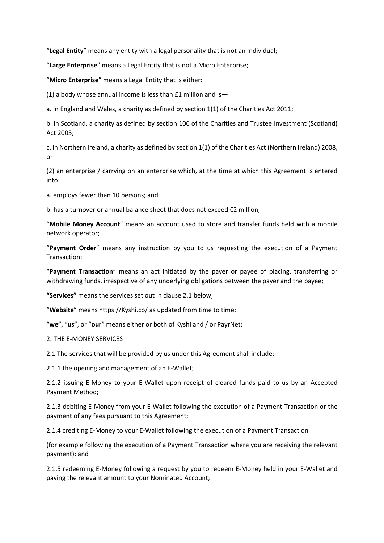"**Legal Entity**" means any entity with a legal personality that is not an Individual;

"**Large Enterprise**" means a Legal Entity that is not a Micro Enterprise;

"**Micro Enterprise**" means a Legal Entity that is either:

(1) a body whose annual income is less than  $£1$  million and is-

a. in England and Wales, a charity as defined by section 1(1) of the Charities Act 2011;

b. in Scotland, a charity as defined by section 106 of the Charities and Trustee Investment (Scotland) Act 2005;

c. in Northern Ireland, a charity as defined by section 1(1) of the Charities Act (Northern Ireland) 2008, or

(2) an enterprise / carrying on an enterprise which, at the time at which this Agreement is entered into:

a. employs fewer than 10 persons; and

b. has a turnover or annual balance sheet that does not exceed €2 million;

"**Mobile Money Account**" means an account used to store and transfer funds held with a mobile network operator;

"**Payment Order**" means any instruction by you to us requesting the execution of a Payment Transaction;

"**Payment Transaction**" means an act initiated by the payer or payee of placing, transferring or withdrawing funds, irrespective of any underlying obligations between the payer and the payee;

**"Services"** means the services set out in clause 2.1 below;

"**Website**" means https://Kyshi.co/ as updated from time to time;

"**we**", "**us**", or "**our**" means either or both of Kyshi and / or PayrNet;

2. THE E-MONEY SERVICES

2.1 The services that will be provided by us under this Agreement shall include:

2.1.1 the opening and management of an E-Wallet;

2.1.2 issuing E-Money to your E-Wallet upon receipt of cleared funds paid to us by an Accepted Payment Method;

2.1.3 debiting E-Money from your E-Wallet following the execution of a Payment Transaction or the payment of any fees pursuant to this Agreement;

2.1.4 crediting E-Money to your E-Wallet following the execution of a Payment Transaction

(for example following the execution of a Payment Transaction where you are receiving the relevant payment); and

2.1.5 redeeming E-Money following a request by you to redeem E-Money held in your E-Wallet and paying the relevant amount to your Nominated Account;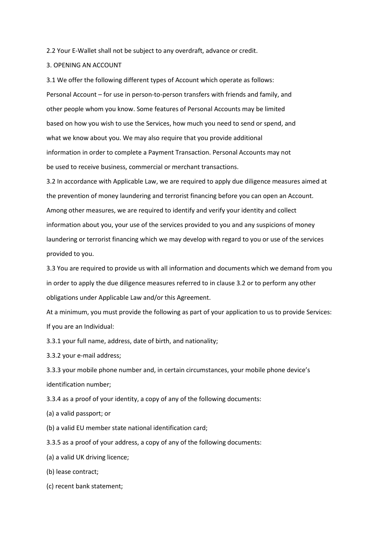2.2 Your E-Wallet shall not be subject to any overdraft, advance or credit.

#### 3. OPENING AN ACCOUNT

3.1 We offer the following different types of Account which operate as follows: Personal Account – for use in person-to-person transfers with friends and family, and other people whom you know. Some features of Personal Accounts may be limited based on how you wish to use the Services, how much you need to send or spend, and what we know about you. We may also require that you provide additional information in order to complete a Payment Transaction. Personal Accounts may not be used to receive business, commercial or merchant transactions.

3.2 In accordance with Applicable Law, we are required to apply due diligence measures aimed at the prevention of money laundering and terrorist financing before you can open an Account. Among other measures, we are required to identify and verify your identity and collect information about you, your use of the services provided to you and any suspicions of money laundering or terrorist financing which we may develop with regard to you or use of the services provided to you.

3.3 You are required to provide us with all information and documents which we demand from you in order to apply the due diligence measures referred to in clause 3.2 or to perform any other obligations under Applicable Law and/or this Agreement.

At a minimum, you must provide the following as part of your application to us to provide Services: If you are an Individual:

3.3.1 your full name, address, date of birth, and nationality;

3.3.2 your e-mail address;

3.3.3 your mobile phone number and, in certain circumstances, your mobile phone device's identification number;

3.3.4 as a proof of your identity, a copy of any of the following documents:

(a) a valid passport; or

(b) a valid EU member state national identification card;

3.3.5 as a proof of your address, a copy of any of the following documents:

(a) a valid UK driving licence;

(b) lease contract;

(c) recent bank statement;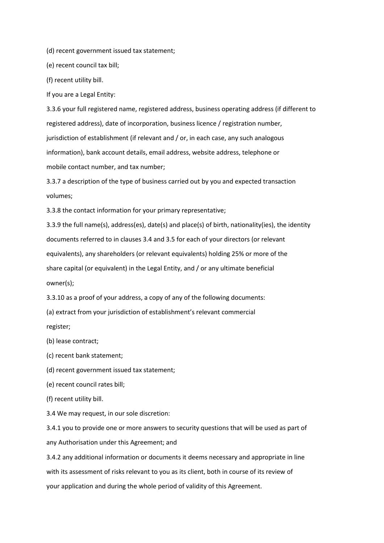(d) recent government issued tax statement;

(e) recent council tax bill;

(f) recent utility bill.

If you are a Legal Entity:

3.3.6 your full registered name, registered address, business operating address (if different to registered address), date of incorporation, business licence / registration number, jurisdiction of establishment (if relevant and / or, in each case, any such analogous information), bank account details, email address, website address, telephone or mobile contact number, and tax number;

3.3.7 a description of the type of business carried out by you and expected transaction volumes;

3.3.8 the contact information for your primary representative;

3.3.9 the full name(s), address(es), date(s) and place(s) of birth, nationality(ies), the identity documents referred to in clauses 3.4 and 3.5 for each of your directors (or relevant equivalents), any shareholders (or relevant equivalents) holding 25% or more of the share capital (or equivalent) in the Legal Entity, and / or any ultimate beneficial owner(s);

3.3.10 as a proof of your address, a copy of any of the following documents:

(a) extract from your jurisdiction of establishment's relevant commercial

register;

(b) lease contract;

(c) recent bank statement;

(d) recent government issued tax statement;

(e) recent council rates bill;

(f) recent utility bill.

3.4 We may request, in our sole discretion:

3.4.1 you to provide one or more answers to security questions that will be used as part of any Authorisation under this Agreement; and

3.4.2 any additional information or documents it deems necessary and appropriate in line with its assessment of risks relevant to you as its client, both in course of its review of your application and during the whole period of validity of this Agreement.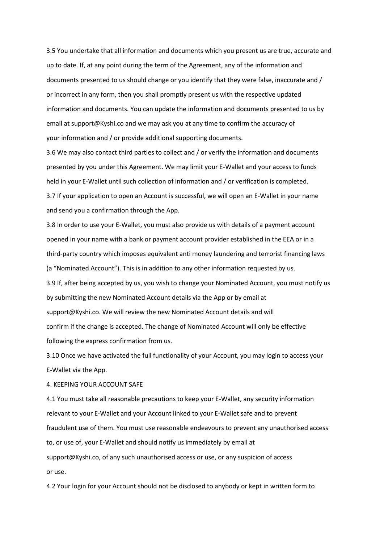3.5 You undertake that all information and documents which you present us are true, accurate and up to date. If, at any point during the term of the Agreement, any of the information and documents presented to us should change or you identify that they were false, inaccurate and / or incorrect in any form, then you shall promptly present us with the respective updated information and documents. You can update the information and documents presented to us by email at support@Kyshi.co and we may ask you at any time to confirm the accuracy of your information and / or provide additional supporting documents.

3.6 We may also contact third parties to collect and / or verify the information and documents presented by you under this Agreement. We may limit your E-Wallet and your access to funds held in your E-Wallet until such collection of information and / or verification is completed. 3.7 If your application to open an Account is successful, we will open an E-Wallet in your name and send you a confirmation through the App.

3.8 In order to use your E-Wallet, you must also provide us with details of a payment account opened in your name with a bank or payment account provider established in the EEA or in a third-party country which imposes equivalent anti money laundering and terrorist financing laws (a "Nominated Account"). This is in addition to any other information requested by us. 3.9 If, after being accepted by us, you wish to change your Nominated Account, you must notify us by submitting the new Nominated Account details via the App or by email at support@Kyshi.co. We will review the new Nominated Account details and will confirm if the change is accepted. The change of Nominated Account will only be effective following the express confirmation from us.

3.10 Once we have activated the full functionality of your Account, you may login to access your E-Wallet via the App.

4. KEEPING YOUR ACCOUNT SAFE

4.1 You must take all reasonable precautions to keep your E-Wallet, any security information relevant to your E-Wallet and your Account linked to your E-Wallet safe and to prevent fraudulent use of them. You must use reasonable endeavours to prevent any unauthorised access to, or use of, your E-Wallet and should notify us immediately by email at support@Kyshi.co, of any such unauthorised access or use, or any suspicion of access or use.

4.2 Your login for your Account should not be disclosed to anybody or kept in written form to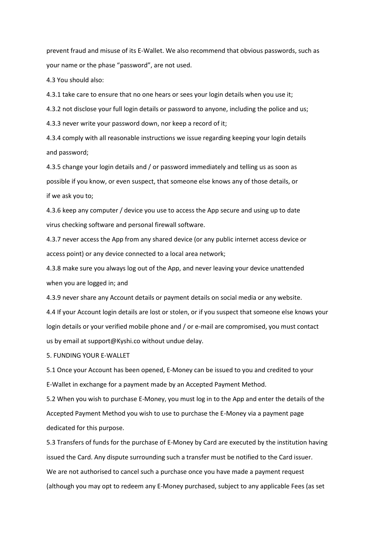prevent fraud and misuse of its E-Wallet. We also recommend that obvious passwords, such as your name or the phase "password", are not used.

4.3 You should also:

4.3.1 take care to ensure that no one hears or sees your login details when you use it;

4.3.2 not disclose your full login details or password to anyone, including the police and us;

4.3.3 never write your password down, nor keep a record of it;

4.3.4 comply with all reasonable instructions we issue regarding keeping your login details and password;

4.3.5 change your login details and / or password immediately and telling us as soon as possible if you know, or even suspect, that someone else knows any of those details, or if we ask you to;

4.3.6 keep any computer / device you use to access the App secure and using up to date virus checking software and personal firewall software.

4.3.7 never access the App from any shared device (or any public internet access device or access point) or any device connected to a local area network;

4.3.8 make sure you always log out of the App, and never leaving your device unattended when you are logged in; and

4.3.9 never share any Account details or payment details on social media or any website.

4.4 If your Account login details are lost or stolen, or if you suspect that someone else knows your login details or your verified mobile phone and / or e-mail are compromised, you must contact us by email at support@Kyshi.co without undue delay.

5. FUNDING YOUR E-WALLET

5.1 Once your Account has been opened, E-Money can be issued to you and credited to your E-Wallet in exchange for a payment made by an Accepted Payment Method.

5.2 When you wish to purchase E-Money, you must log in to the App and enter the details of the Accepted Payment Method you wish to use to purchase the E-Money via a payment page dedicated for this purpose.

5.3 Transfers of funds for the purchase of E-Money by Card are executed by the institution having issued the Card. Any dispute surrounding such a transfer must be notified to the Card issuer. We are not authorised to cancel such a purchase once you have made a payment request (although you may opt to redeem any E-Money purchased, subject to any applicable Fees (as set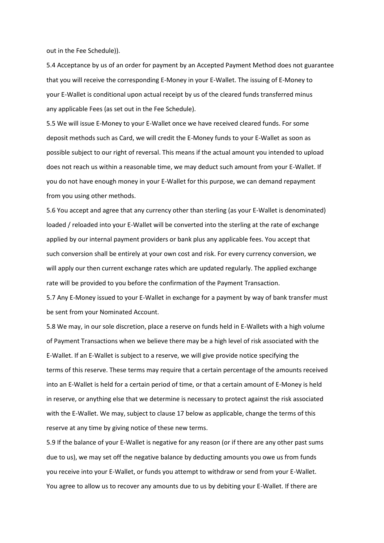out in the Fee Schedule)).

5.4 Acceptance by us of an order for payment by an Accepted Payment Method does not guarantee that you will receive the corresponding E-Money in your E-Wallet. The issuing of E-Money to your E-Wallet is conditional upon actual receipt by us of the cleared funds transferred minus any applicable Fees (as set out in the Fee Schedule).

5.5 We will issue E-Money to your E-Wallet once we have received cleared funds. For some deposit methods such as Card, we will credit the E-Money funds to your E-Wallet as soon as possible subject to our right of reversal. This means if the actual amount you intended to upload does not reach us within a reasonable time, we may deduct such amount from your E-Wallet. If you do not have enough money in your E-Wallet for this purpose, we can demand repayment from you using other methods.

5.6 You accept and agree that any currency other than sterling (as your E-Wallet is denominated) loaded / reloaded into your E-Wallet will be converted into the sterling at the rate of exchange applied by our internal payment providers or bank plus any applicable fees. You accept that such conversion shall be entirely at your own cost and risk. For every currency conversion, we will apply our then current exchange rates which are updated regularly. The applied exchange rate will be provided to you before the confirmation of the Payment Transaction.

5.7 Any E-Money issued to your E-Wallet in exchange for a payment by way of bank transfer must be sent from your Nominated Account.

5.8 We may, in our sole discretion, place a reserve on funds held in E-Wallets with a high volume of Payment Transactions when we believe there may be a high level of risk associated with the E-Wallet. If an E-Wallet is subject to a reserve, we will give provide notice specifying the terms of this reserve. These terms may require that a certain percentage of the amounts received into an E-Wallet is held for a certain period of time, or that a certain amount of E-Money is held in reserve, or anything else that we determine is necessary to protect against the risk associated with the E-Wallet. We may, subject to clause 17 below as applicable, change the terms of this reserve at any time by giving notice of these new terms.

5.9 If the balance of your E-Wallet is negative for any reason (or if there are any other past sums due to us), we may set off the negative balance by deducting amounts you owe us from funds you receive into your E-Wallet, or funds you attempt to withdraw or send from your E-Wallet. You agree to allow us to recover any amounts due to us by debiting your E-Wallet. If there are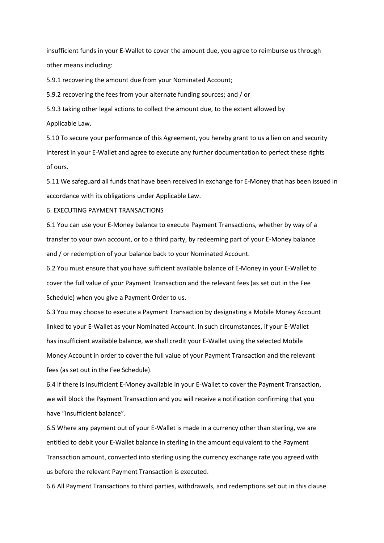insufficient funds in your E-Wallet to cover the amount due, you agree to reimburse us through other means including:

5.9.1 recovering the amount due from your Nominated Account;

5.9.2 recovering the fees from your alternate funding sources; and / or

5.9.3 taking other legal actions to collect the amount due, to the extent allowed by Applicable Law.

5.10 To secure your performance of this Agreement, you hereby grant to us a lien on and security interest in your E-Wallet and agree to execute any further documentation to perfect these rights of ours.

5.11 We safeguard all funds that have been received in exchange for E-Money that has been issued in accordance with its obligations under Applicable Law.

6. EXECUTING PAYMENT TRANSACTIONS

6.1 You can use your E-Money balance to execute Payment Transactions, whether by way of a transfer to your own account, or to a third party, by redeeming part of your E-Money balance and / or redemption of your balance back to your Nominated Account.

6.2 You must ensure that you have sufficient available balance of E-Money in your E-Wallet to cover the full value of your Payment Transaction and the relevant fees (as set out in the Fee Schedule) when you give a Payment Order to us.

6.3 You may choose to execute a Payment Transaction by designating a Mobile Money Account linked to your E-Wallet as your Nominated Account. In such circumstances, if your E-Wallet has insufficient available balance, we shall credit your E-Wallet using the selected Mobile Money Account in order to cover the full value of your Payment Transaction and the relevant fees (as set out in the Fee Schedule).

6.4 If there is insufficient E-Money available in your E-Wallet to cover the Payment Transaction, we will block the Payment Transaction and you will receive a notification confirming that you have "insufficient balance".

6.5 Where any payment out of your E-Wallet is made in a currency other than sterling, we are entitled to debit your E-Wallet balance in sterling in the amount equivalent to the Payment Transaction amount, converted into sterling using the currency exchange rate you agreed with us before the relevant Payment Transaction is executed.

6.6 All Payment Transactions to third parties, withdrawals, and redemptions set out in this clause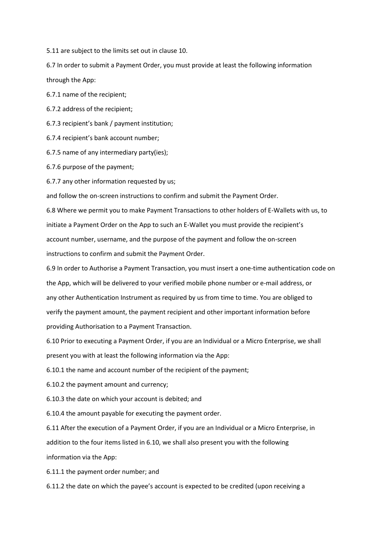5.11 are subject to the limits set out in clause 10.

6.7 In order to submit a Payment Order, you must provide at least the following information through the App:

6.7.1 name of the recipient;

6.7.2 address of the recipient;

6.7.3 recipient's bank / payment institution;

6.7.4 recipient's bank account number;

6.7.5 name of any intermediary party(ies);

6.7.6 purpose of the payment;

6.7.7 any other information requested by us;

and follow the on-screen instructions to confirm and submit the Payment Order.

6.8 Where we permit you to make Payment Transactions to other holders of E-Wallets with us, to initiate a Payment Order on the App to such an E-Wallet you must provide the recipient's account number, username, and the purpose of the payment and follow the on-screen instructions to confirm and submit the Payment Order.

6.9 In order to Authorise a Payment Transaction, you must insert a one-time authentication code on the App, which will be delivered to your verified mobile phone number or e-mail address, or any other Authentication Instrument as required by us from time to time. You are obliged to verify the payment amount, the payment recipient and other important information before providing Authorisation to a Payment Transaction.

6.10 Prior to executing a Payment Order, if you are an Individual or a Micro Enterprise, we shall present you with at least the following information via the App:

6.10.1 the name and account number of the recipient of the payment;

6.10.2 the payment amount and currency;

6.10.3 the date on which your account is debited; and

6.10.4 the amount payable for executing the payment order.

6.11 After the execution of a Payment Order, if you are an Individual or a Micro Enterprise, in addition to the four items listed in 6.10, we shall also present you with the following information via the App:

6.11.1 the payment order number; and

6.11.2 the date on which the payee's account is expected to be credited (upon receiving a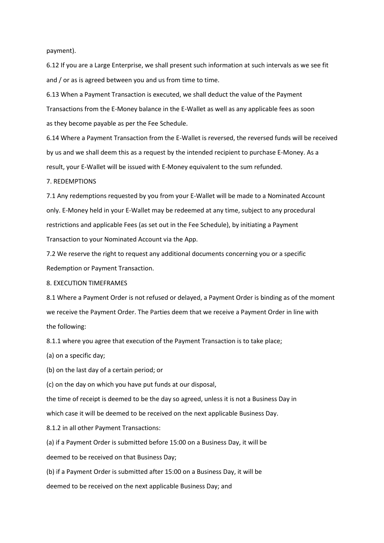#### payment).

6.12 If you are a Large Enterprise, we shall present such information at such intervals as we see fit and / or as is agreed between you and us from time to time.

6.13 When a Payment Transaction is executed, we shall deduct the value of the Payment Transactions from the E-Money balance in the E-Wallet as well as any applicable fees as soon as they become payable as per the Fee Schedule.

6.14 Where a Payment Transaction from the E-Wallet is reversed, the reversed funds will be received by us and we shall deem this as a request by the intended recipient to purchase E-Money. As a result, your E-Wallet will be issued with E-Money equivalent to the sum refunded.

## 7. REDEMPTIONS

7.1 Any redemptions requested by you from your E-Wallet will be made to a Nominated Account only. E-Money held in your E-Wallet may be redeemed at any time, subject to any procedural restrictions and applicable Fees (as set out in the Fee Schedule), by initiating a Payment Transaction to your Nominated Account via the App.

7.2 We reserve the right to request any additional documents concerning you or a specific Redemption or Payment Transaction.

#### 8. EXECUTION TIMEFRAMES

8.1 Where a Payment Order is not refused or delayed, a Payment Order is binding as of the moment we receive the Payment Order. The Parties deem that we receive a Payment Order in line with the following:

8.1.1 where you agree that execution of the Payment Transaction is to take place;

(a) on a specific day;

(b) on the last day of a certain period; or

(c) on the day on which you have put funds at our disposal,

the time of receipt is deemed to be the day so agreed, unless it is not a Business Day in

which case it will be deemed to be received on the next applicable Business Day.

8.1.2 in all other Payment Transactions:

(a) if a Payment Order is submitted before 15:00 on a Business Day, it will be

deemed to be received on that Business Day;

(b) if a Payment Order is submitted after 15:00 on a Business Day, it will be

deemed to be received on the next applicable Business Day; and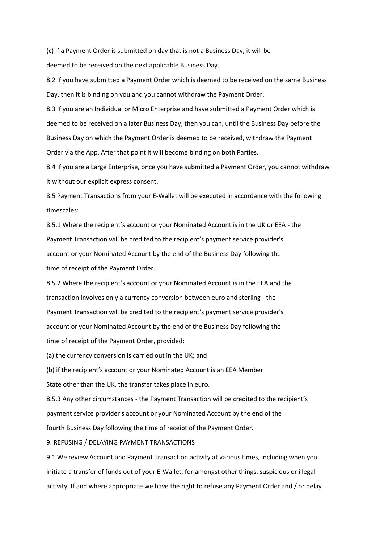(c) if a Payment Order is submitted on day that is not a Business Day, it will be deemed to be received on the next applicable Business Day.

8.2 If you have submitted a Payment Order which is deemed to be received on the same Business Day, then it is binding on you and you cannot withdraw the Payment Order.

8.3 If you are an Individual or Micro Enterprise and have submitted a Payment Order which is deemed to be received on a later Business Day, then you can, until the Business Day before the Business Day on which the Payment Order is deemed to be received, withdraw the Payment Order via the App. After that point it will become binding on both Parties.

8.4 If you are a Large Enterprise, once you have submitted a Payment Order, you cannot withdraw it without our explicit express consent.

8.5 Payment Transactions from your E-Wallet will be executed in accordance with the following timescales:

8.5.1 Where the recipient's account or your Nominated Account is in the UK or EEA - the Payment Transaction will be credited to the recipient's payment service provider's account or your Nominated Account by the end of the Business Day following the time of receipt of the Payment Order.

8.5.2 Where the recipient's account or your Nominated Account is in the EEA and the transaction involves only a currency conversion between euro and sterling - the Payment Transaction will be credited to the recipient's payment service provider's account or your Nominated Account by the end of the Business Day following the time of receipt of the Payment Order, provided:

(a) the currency conversion is carried out in the UK; and

(b) if the recipient's account or your Nominated Account is an EEA Member State other than the UK, the transfer takes place in euro.

8.5.3 Any other circumstances - the Payment Transaction will be credited to the recipient's payment service provider's account or your Nominated Account by the end of the fourth Business Day following the time of receipt of the Payment Order.

9. REFUSING / DELAYING PAYMENT TRANSACTIONS

9.1 We review Account and Payment Transaction activity at various times, including when you initiate a transfer of funds out of your E-Wallet, for amongst other things, suspicious or illegal activity. If and where appropriate we have the right to refuse any Payment Order and / or delay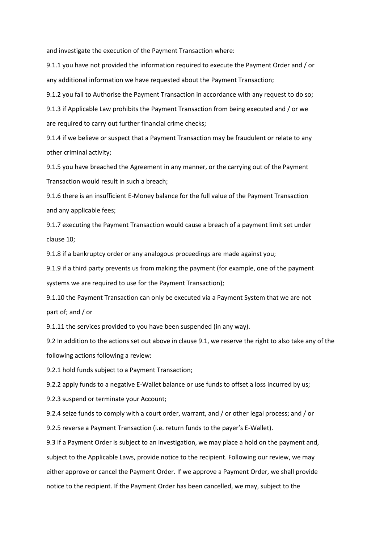and investigate the execution of the Payment Transaction where:

9.1.1 you have not provided the information required to execute the Payment Order and / or any additional information we have requested about the Payment Transaction;

9.1.2 you fail to Authorise the Payment Transaction in accordance with any request to do so;

9.1.3 if Applicable Law prohibits the Payment Transaction from being executed and / or we are required to carry out further financial crime checks;

9.1.4 if we believe or suspect that a Payment Transaction may be fraudulent or relate to any other criminal activity;

9.1.5 you have breached the Agreement in any manner, or the carrying out of the Payment Transaction would result in such a breach;

9.1.6 there is an insufficient E-Money balance for the full value of the Payment Transaction and any applicable fees;

9.1.7 executing the Payment Transaction would cause a breach of a payment limit set under clause 10;

9.1.8 if a bankruptcy order or any analogous proceedings are made against you;

9.1.9 if a third party prevents us from making the payment (for example, one of the payment systems we are required to use for the Payment Transaction);

9.1.10 the Payment Transaction can only be executed via a Payment System that we are not part of; and / or

9.1.11 the services provided to you have been suspended (in any way).

9.2 In addition to the actions set out above in clause 9.1, we reserve the right to also take any of the following actions following a review:

9.2.1 hold funds subject to a Payment Transaction;

9.2.2 apply funds to a negative E-Wallet balance or use funds to offset a loss incurred by us;

9.2.3 suspend or terminate your Account;

9.2.4 seize funds to comply with a court order, warrant, and / or other legal process; and / or

9.2.5 reverse a Payment Transaction (i.e. return funds to the payer's E-Wallet).

9.3 If a Payment Order is subject to an investigation, we may place a hold on the payment and, subject to the Applicable Laws, provide notice to the recipient. Following our review, we may either approve or cancel the Payment Order. If we approve a Payment Order, we shall provide notice to the recipient. If the Payment Order has been cancelled, we may, subject to the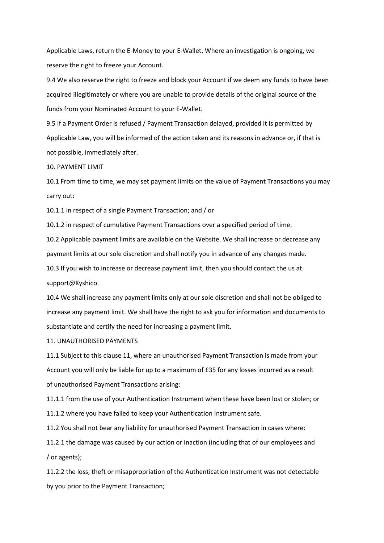Applicable Laws, return the E-Money to your E-Wallet. Where an investigation is ongoing, we reserve the right to freeze your Account.

9.4 We also reserve the right to freeze and block your Account if we deem any funds to have been acquired illegitimately or where you are unable to provide details of the original source of the funds from your Nominated Account to your E-Wallet.

9.5 If a Payment Order is refused / Payment Transaction delayed, provided it is permitted by Applicable Law, you will be informed of the action taken and its reasons in advance or, if that is not possible, immediately after.

## 10. PAYMENT LIMIT

10.1 From time to time, we may set payment limits on the value of Payment Transactions you may carry out:

10.1.1 in respect of a single Payment Transaction; and / or

10.1.2 in respect of cumulative Payment Transactions over a specified period of time.

10.2 Applicable payment limits are available on the Website. We shall increase or decrease any payment limits at our sole discretion and shall notify you in advance of any changes made.

10.3 If you wish to increase or decrease payment limit, then you should contact the us at support@Kyshico.

10.4 We shall increase any payment limits only at our sole discretion and shall not be obliged to increase any payment limit. We shall have the right to ask you for information and documents to substantiate and certify the need for increasing a payment limit.

# 11. UNAUTHORISED PAYMENTS

11.1 Subject to this clause 11, where an unauthorised Payment Transaction is made from your Account you will only be liable for up to a maximum of £35 for any losses incurred as a result of unauthorised Payment Transactions arising:

11.1.1 from the use of your Authentication Instrument when these have been lost or stolen; or

11.1.2 where you have failed to keep your Authentication Instrument safe.

11.2 You shall not bear any liability for unauthorised Payment Transaction in cases where:

11.2.1 the damage was caused by our action or inaction (including that of our employees and / or agents);

11.2.2 the loss, theft or misappropriation of the Authentication Instrument was not detectable by you prior to the Payment Transaction;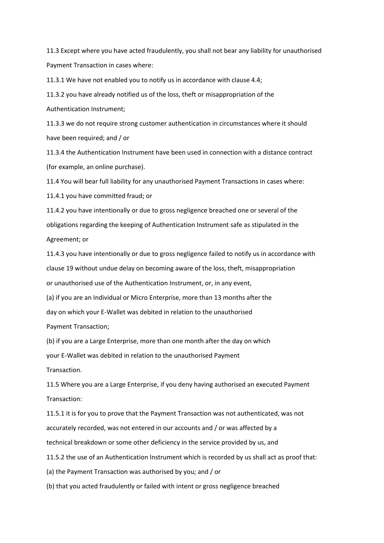11.3 Except where you have acted fraudulently, you shall not bear any liability for unauthorised Payment Transaction in cases where:

11.3.1 We have not enabled you to notify us in accordance with clause 4.4;

11.3.2 you have already notified us of the loss, theft or misappropriation of the Authentication Instrument;

11.3.3 we do not require strong customer authentication in circumstances where it should have been required; and / or

11.3.4 the Authentication Instrument have been used in connection with a distance contract (for example, an online purchase).

11.4 You will bear full liability for any unauthorised Payment Transactions in cases where:

11.4.1 you have committed fraud; or

11.4.2 you have intentionally or due to gross negligence breached one or several of the obligations regarding the keeping of Authentication Instrument safe as stipulated in the Agreement; or

11.4.3 you have intentionally or due to gross negligence failed to notify us in accordance with clause 19 without undue delay on becoming aware of the loss, theft, misappropriation or unauthorised use of the Authentication Instrument, or, in any event,

(a) if you are an Individual or Micro Enterprise, more than 13 months after the

day on which your E-Wallet was debited in relation to the unauthorised

Payment Transaction;

(b) if you are a Large Enterprise, more than one month after the day on which

your E-Wallet was debited in relation to the unauthorised Payment

Transaction.

11.5 Where you are a Large Enterprise, if you deny having authorised an executed Payment Transaction:

11.5.1 it is for you to prove that the Payment Transaction was not authenticated, was not accurately recorded, was not entered in our accounts and / or was affected by a technical breakdown or some other deficiency in the service provided by us, and 11.5.2 the use of an Authentication Instrument which is recorded by us shall act as proof that: (a) the Payment Transaction was authorised by you; and / or

(b) that you acted fraudulently or failed with intent or gross negligence breached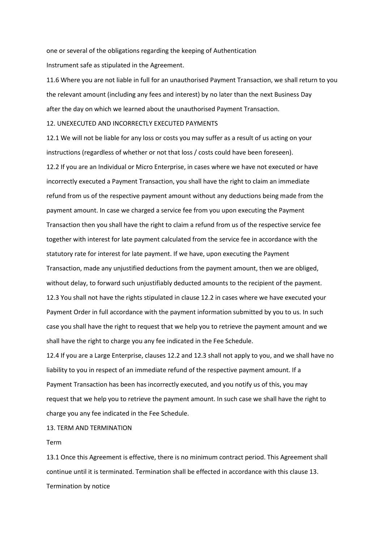one or several of the obligations regarding the keeping of Authentication Instrument safe as stipulated in the Agreement.

11.6 Where you are not liable in full for an unauthorised Payment Transaction, we shall return to you the relevant amount (including any fees and interest) by no later than the next Business Day after the day on which we learned about the unauthorised Payment Transaction.

## 12. UNEXECUTED AND INCORRECTLY EXECUTED PAYMENTS

12.1 We will not be liable for any loss or costs you may suffer as a result of us acting on your instructions (regardless of whether or not that loss / costs could have been foreseen).

12.2 If you are an Individual or Micro Enterprise, in cases where we have not executed or have incorrectly executed a Payment Transaction, you shall have the right to claim an immediate refund from us of the respective payment amount without any deductions being made from the payment amount. In case we charged a service fee from you upon executing the Payment Transaction then you shall have the right to claim a refund from us of the respective service fee together with interest for late payment calculated from the service fee in accordance with the statutory rate for interest for late payment. If we have, upon executing the Payment Transaction, made any unjustified deductions from the payment amount, then we are obliged, without delay, to forward such unjustifiably deducted amounts to the recipient of the payment. 12.3 You shall not have the rights stipulated in clause 12.2 in cases where we have executed your Payment Order in full accordance with the payment information submitted by you to us. In such case you shall have the right to request that we help you to retrieve the payment amount and we shall have the right to charge you any fee indicated in the Fee Schedule.

12.4 If you are a Large Enterprise, clauses 12.2 and 12.3 shall not apply to you, and we shall have no liability to you in respect of an immediate refund of the respective payment amount. If a Payment Transaction has been has incorrectly executed, and you notify us of this, you may request that we help you to retrieve the payment amount. In such case we shall have the right to charge you any fee indicated in the Fee Schedule.

# 13. TERM AND TERMINATION

#### Term

13.1 Once this Agreement is effective, there is no minimum contract period. This Agreement shall continue until it is terminated. Termination shall be effected in accordance with this clause 13. Termination by notice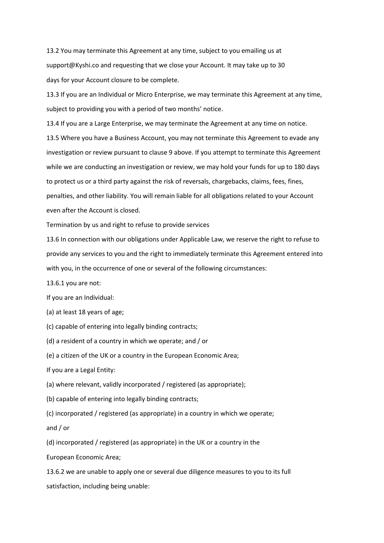13.2 You may terminate this Agreement at any time, subject to you emailing us at support@Kyshi.co and requesting that we close your Account. It may take up to 30 days for your Account closure to be complete.

13.3 If you are an Individual or Micro Enterprise, we may terminate this Agreement at any time, subject to providing you with a period of two months' notice.

13.4 If you are a Large Enterprise, we may terminate the Agreement at any time on notice. 13.5 Where you have a Business Account, you may not terminate this Agreement to evade any investigation or review pursuant to clause 9 above. If you attempt to terminate this Agreement while we are conducting an investigation or review, we may hold your funds for up to 180 days to protect us or a third party against the risk of reversals, chargebacks, claims, fees, fines, penalties, and other liability. You will remain liable for all obligations related to your Account even after the Account is closed.

Termination by us and right to refuse to provide services

13.6 In connection with our obligations under Applicable Law, we reserve the right to refuse to provide any services to you and the right to immediately terminate this Agreement entered into with you, in the occurrence of one or several of the following circumstances:

13.6.1 you are not:

If you are an Individual:

(a) at least 18 years of age;

(c) capable of entering into legally binding contracts;

(d) a resident of a country in which we operate; and / or

(e) a citizen of the UK or a country in the European Economic Area;

If you are a Legal Entity:

(a) where relevant, validly incorporated / registered (as appropriate);

(b) capable of entering into legally binding contracts;

(c) incorporated / registered (as appropriate) in a country in which we operate;

and / or

(d) incorporated / registered (as appropriate) in the UK or a country in the

European Economic Area;

13.6.2 we are unable to apply one or several due diligence measures to you to its full satisfaction, including being unable: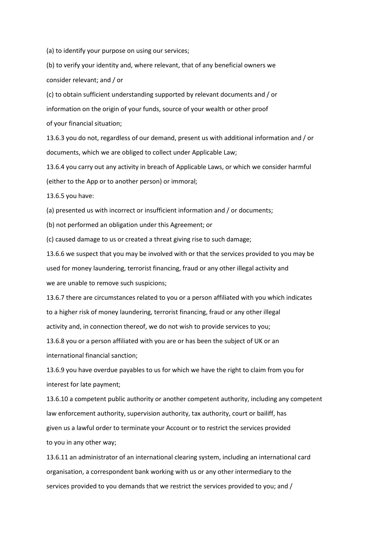(a) to identify your purpose on using our services;

(b) to verify your identity and, where relevant, that of any beneficial owners we consider relevant; and / or

(c) to obtain sufficient understanding supported by relevant documents and / or information on the origin of your funds, source of your wealth or other proof of your financial situation;

13.6.3 you do not, regardless of our demand, present us with additional information and / or documents, which we are obliged to collect under Applicable Law;

13.6.4 you carry out any activity in breach of Applicable Laws, or which we consider harmful (either to the App or to another person) or immoral;

13.6.5 you have:

(a) presented us with incorrect or insufficient information and / or documents;

(b) not performed an obligation under this Agreement; or

(c) caused damage to us or created a threat giving rise to such damage;

13.6.6 we suspect that you may be involved with or that the services provided to you may be used for money laundering, terrorist financing, fraud or any other illegal activity and we are unable to remove such suspicions;

13.6.7 there are circumstances related to you or a person affiliated with you which indicates to a higher risk of money laundering, terrorist financing, fraud or any other illegal activity and, in connection thereof, we do not wish to provide services to you;

13.6.8 you or a person affiliated with you are or has been the subject of UK or an international financial sanction;

13.6.9 you have overdue payables to us for which we have the right to claim from you for interest for late payment;

13.6.10 a competent public authority or another competent authority, including any competent law enforcement authority, supervision authority, tax authority, court or bailiff, has given us a lawful order to terminate your Account or to restrict the services provided to you in any other way;

13.6.11 an administrator of an international clearing system, including an international card organisation, a correspondent bank working with us or any other intermediary to the services provided to you demands that we restrict the services provided to you; and /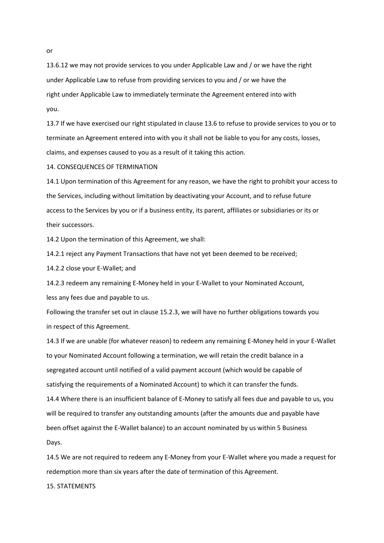13.6.12 we may not provide services to you under Applicable Law and / or we have the right under Applicable Law to refuse from providing services to you and / or we have the right under Applicable Law to immediately terminate the Agreement entered into with you.

13.7 If we have exercised our right stipulated in clause 13.6 to refuse to provide services to you or to terminate an Agreement entered into with you it shall not be liable to you for any costs, losses, claims, and expenses caused to you as a result of it taking this action.

14. CONSEQUENCES OF TERMINATION

14.1 Upon termination of this Agreement for any reason, we have the right to prohibit your access to the Services, including without limitation by deactivating your Account, and to refuse future access to the Services by you or if a business entity, its parent, affiliates or subsidiaries or its or their successors.

14.2 Upon the termination of this Agreement, we shall:

14.2.1 reject any Payment Transactions that have not yet been deemed to be received;

14.2.2 close your E-Wallet; and

14.2.3 redeem any remaining E-Money held in your E-Wallet to your Nominated Account, less any fees due and payable to us.

Following the transfer set out in clause 15.2.3, we will have no further obligations towards you in respect of this Agreement.

14.3 If we are unable (for whatever reason) to redeem any remaining E-Money held in your E-Wallet to your Nominated Account following a termination, we will retain the credit balance in a segregated account until notified of a valid payment account (which would be capable of satisfying the requirements of a Nominated Account) to which it can transfer the funds.

14.4 Where there is an insufficient balance of E-Money to satisfy all fees due and payable to us, you will be required to transfer any outstanding amounts (after the amounts due and payable have been offset against the E-Wallet balance) to an account nominated by us within 5 Business Days.

14.5 We are not required to redeem any E-Money from your E-Wallet where you made a request for redemption more than six years after the date of termination of this Agreement.

15. STATEMENTS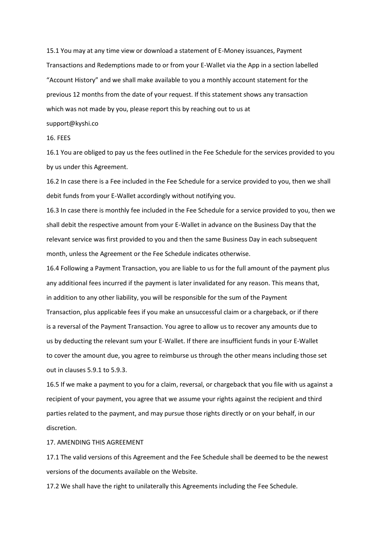15.1 You may at any time view or download a statement of E-Money issuances, Payment Transactions and Redemptions made to or from your E-Wallet via the App in a section labelled "Account History" and we shall make available to you a monthly account statement for the previous 12 months from the date of your request. If this statement shows any transaction which was not made by you, please report this by reaching out to us at

## support@kyshi.co

### 16. FEES

16.1 You are obliged to pay us the fees outlined in the Fee Schedule for the services provided to you by us under this Agreement.

16.2 In case there is a Fee included in the Fee Schedule for a service provided to you, then we shall debit funds from your E-Wallet accordingly without notifying you.

16.3 In case there is monthly fee included in the Fee Schedule for a service provided to you, then we shall debit the respective amount from your E-Wallet in advance on the Business Day that the relevant service was first provided to you and then the same Business Day in each subsequent month, unless the Agreement or the Fee Schedule indicates otherwise.

16.4 Following a Payment Transaction, you are liable to us for the full amount of the payment plus any additional fees incurred if the payment is later invalidated for any reason. This means that, in addition to any other liability, you will be responsible for the sum of the Payment Transaction, plus applicable fees if you make an unsuccessful claim or a chargeback, or if there is a reversal of the Payment Transaction. You agree to allow us to recover any amounts due to us by deducting the relevant sum your E-Wallet. If there are insufficient funds in your E-Wallet to cover the amount due, you agree to reimburse us through the other means including those set out in clauses 5.9.1 to 5.9.3.

16.5 If we make a payment to you for a claim, reversal, or chargeback that you file with us against a recipient of your payment, you agree that we assume your rights against the recipient and third parties related to the payment, and may pursue those rights directly or on your behalf, in our discretion.

# 17. AMENDING THIS AGREEMENT

17.1 The valid versions of this Agreement and the Fee Schedule shall be deemed to be the newest versions of the documents available on the Website.

17.2 We shall have the right to unilaterally this Agreements including the Fee Schedule.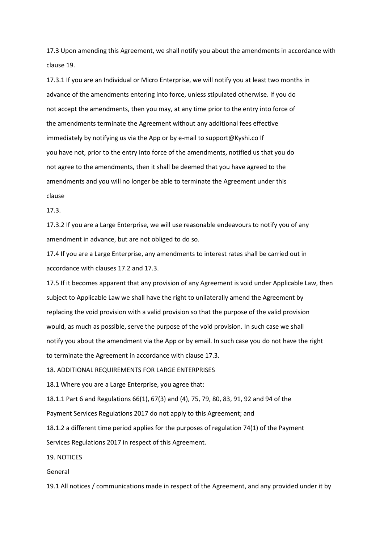17.3 Upon amending this Agreement, we shall notify you about the amendments in accordance with clause 19.

17.3.1 If you are an Individual or Micro Enterprise, we will notify you at least two months in advance of the amendments entering into force, unless stipulated otherwise. If you do not accept the amendments, then you may, at any time prior to the entry into force of the amendments terminate the Agreement without any additional fees effective immediately by notifying us via the App or by e-mail to support@Kyshi.co If you have not, prior to the entry into force of the amendments, notified us that you do not agree to the amendments, then it shall be deemed that you have agreed to the amendments and you will no longer be able to terminate the Agreement under this clause

#### 17.3.

17.3.2 If you are a Large Enterprise, we will use reasonable endeavours to notify you of any amendment in advance, but are not obliged to do so.

17.4 If you are a Large Enterprise, any amendments to interest rates shall be carried out in accordance with clauses 17.2 and 17.3.

17.5 If it becomes apparent that any provision of any Agreement is void under Applicable Law, then subject to Applicable Law we shall have the right to unilaterally amend the Agreement by replacing the void provision with a valid provision so that the purpose of the valid provision would, as much as possible, serve the purpose of the void provision. In such case we shall notify you about the amendment via the App or by email. In such case you do not have the right to terminate the Agreement in accordance with clause 17.3.

18. ADDITIONAL REQUIREMENTS FOR LARGE ENTERPRISES

18.1 Where you are a Large Enterprise, you agree that:

18.1.1 Part 6 and Regulations 66(1), 67(3) and (4), 75, 79, 80, 83, 91, 92 and 94 of the

Payment Services Regulations 2017 do not apply to this Agreement; and

18.1.2 a different time period applies for the purposes of regulation 74(1) of the Payment Services Regulations 2017 in respect of this Agreement.

19. NOTICES

General

19.1 All notices / communications made in respect of the Agreement, and any provided under it by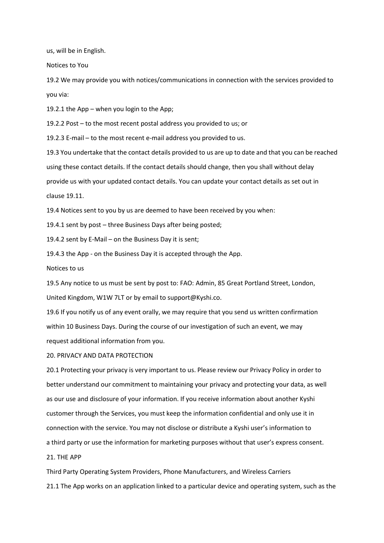us, will be in English.

Notices to You

19.2 We may provide you with notices/communications in connection with the services provided to you via:

19.2.1 the App – when you login to the App;

19.2.2 Post – to the most recent postal address you provided to us; or

19.2.3 E-mail – to the most recent e-mail address you provided to us.

19.3 You undertake that the contact details provided to us are up to date and that you can be reached using these contact details. If the contact details should change, then you shall without delay provide us with your updated contact details. You can update your contact details as set out in clause 19.11.

19.4 Notices sent to you by us are deemed to have been received by you when:

19.4.1 sent by post – three Business Days after being posted;

19.4.2 sent by E-Mail – on the Business Day it is sent;

19.4.3 the App - on the Business Day it is accepted through the App.

Notices to us

19.5 Any notice to us must be sent by post to: FAO: Admin, 85 Great Portland Street, London, United Kingdom, W1W 7LT or by email to support@Kyshi.co.

19.6 If you notify us of any event orally, we may require that you send us written confirmation within 10 Business Days. During the course of our investigation of such an event, we may request additional information from you.

20. PRIVACY AND DATA PROTECTION

20.1 Protecting your privacy is very important to us. Please review our Privacy Policy in order to better understand our commitment to maintaining your privacy and protecting your data, as well as our use and disclosure of your information. If you receive information about another Kyshi customer through the Services, you must keep the information confidential and only use it in connection with the service. You may not disclose or distribute a Kyshi user's information to a third party or use the information for marketing purposes without that user's express consent.

21. THE APP

Third Party Operating System Providers, Phone Manufacturers, and Wireless Carriers 21.1 The App works on an application linked to a particular device and operating system, such as the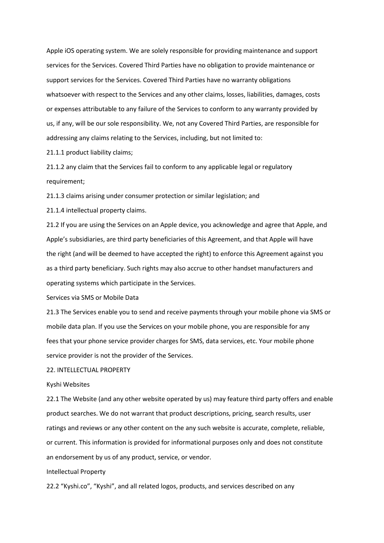Apple iOS operating system. We are solely responsible for providing maintenance and support services for the Services. Covered Third Parties have no obligation to provide maintenance or support services for the Services. Covered Third Parties have no warranty obligations whatsoever with respect to the Services and any other claims, losses, liabilities, damages, costs or expenses attributable to any failure of the Services to conform to any warranty provided by us, if any, will be our sole responsibility. We, not any Covered Third Parties, are responsible for addressing any claims relating to the Services, including, but not limited to:

21.1.1 product liability claims;

21.1.2 any claim that the Services fail to conform to any applicable legal or regulatory requirement;

21.1.3 claims arising under consumer protection or similar legislation; and

21.1.4 intellectual property claims.

21.2 If you are using the Services on an Apple device, you acknowledge and agree that Apple, and Apple's subsidiaries, are third party beneficiaries of this Agreement, and that Apple will have the right (and will be deemed to have accepted the right) to enforce this Agreement against you as a third party beneficiary. Such rights may also accrue to other handset manufacturers and operating systems which participate in the Services.

Services via SMS or Mobile Data

21.3 The Services enable you to send and receive payments through your mobile phone via SMS or mobile data plan. If you use the Services on your mobile phone, you are responsible for any fees that your phone service provider charges for SMS, data services, etc. Your mobile phone service provider is not the provider of the Services.

# 22. INTELLECTUAL PROPERTY

### Kyshi Websites

22.1 The Website (and any other website operated by us) may feature third party offers and enable product searches. We do not warrant that product descriptions, pricing, search results, user ratings and reviews or any other content on the any such website is accurate, complete, reliable, or current. This information is provided for informational purposes only and does not constitute an endorsement by us of any product, service, or vendor.

### Intellectual Property

22.2 "Kyshi.co", "Kyshi", and all related logos, products, and services described on any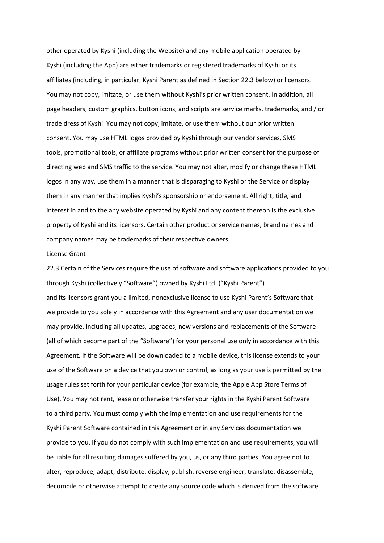other operated by Kyshi (including the Website) and any mobile application operated by Kyshi (including the App) are either trademarks or registered trademarks of Kyshi or its affiliates (including, in particular, Kyshi Parent as defined in Section 22.3 below) or licensors. You may not copy, imitate, or use them without Kyshi's prior written consent. In addition, all page headers, custom graphics, button icons, and scripts are service marks, trademarks, and / or trade dress of Kyshi. You may not copy, imitate, or use them without our prior written consent. You may use HTML logos provided by Kyshi through our vendor services, SMS tools, promotional tools, or affiliate programs without prior written consent for the purpose of directing web and SMS traffic to the service. You may not alter, modify or change these HTML logos in any way, use them in a manner that is disparaging to Kyshi or the Service or display them in any manner that implies Kyshi's sponsorship or endorsement. All right, title, and interest in and to the any website operated by Kyshi and any content thereon is the exclusive property of Kyshi and its licensors. Certain other product or service names, brand names and company names may be trademarks of their respective owners.

#### License Grant

22.3 Certain of the Services require the use of software and software applications provided to you through Kyshi (collectively "Software") owned by Kyshi Ltd. ("Kyshi Parent") and its licensors grant you a limited, nonexclusive license to use Kyshi Parent's Software that we provide to you solely in accordance with this Agreement and any user documentation we may provide, including all updates, upgrades, new versions and replacements of the Software (all of which become part of the "Software") for your personal use only in accordance with this Agreement. If the Software will be downloaded to a mobile device, this license extends to your use of the Software on a device that you own or control, as long as your use is permitted by the usage rules set forth for your particular device (for example, the Apple App Store Terms of Use). You may not rent, lease or otherwise transfer your rights in the Kyshi Parent Software to a third party. You must comply with the implementation and use requirements for the Kyshi Parent Software contained in this Agreement or in any Services documentation we provide to you. If you do not comply with such implementation and use requirements, you will be liable for all resulting damages suffered by you, us, or any third parties. You agree not to alter, reproduce, adapt, distribute, display, publish, reverse engineer, translate, disassemble, decompile or otherwise attempt to create any source code which is derived from the software.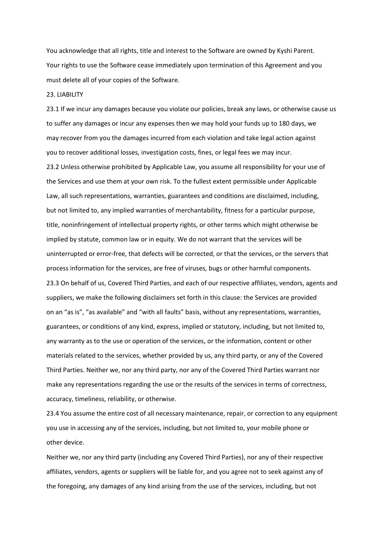You acknowledge that all rights, title and interest to the Software are owned by Kyshi Parent. Your rights to use the Software cease immediately upon termination of this Agreement and you must delete all of your copies of the Software.

### 23. LIABILITY

23.1 If we incur any damages because you violate our policies, break any laws, or otherwise cause us to suffer any damages or incur any expenses then we may hold your funds up to 180 days, we may recover from you the damages incurred from each violation and take legal action against you to recover additional losses, investigation costs, fines, or legal fees we may incur. 23.2 Unless otherwise prohibited by Applicable Law, you assume all responsibility for your use of the Services and use them at your own risk. To the fullest extent permissible under Applicable Law, all such representations, warranties, guarantees and conditions are disclaimed, including, but not limited to, any implied warranties of merchantability, fitness for a particular purpose, title, noninfringement of intellectual property rights, or other terms which might otherwise be implied by statute, common law or in equity. We do not warrant that the services will be uninterrupted or error-free, that defects will be corrected, or that the services, or the servers that process information for the services, are free of viruses, bugs or other harmful components. 23.3 On behalf of us, Covered Third Parties, and each of our respective affiliates, vendors, agents and suppliers, we make the following disclaimers set forth in this clause: the Services are provided on an "as is", "as available" and "with all faults" basis, without any representations, warranties, guarantees, or conditions of any kind, express, implied or statutory, including, but not limited to, any warranty as to the use or operation of the services, or the information, content or other materials related to the services, whether provided by us, any third party, or any of the Covered Third Parties. Neither we, nor any third party, nor any of the Covered Third Parties warrant nor make any representations regarding the use or the results of the services in terms of correctness, accuracy, timeliness, reliability, or otherwise.

23.4 You assume the entire cost of all necessary maintenance, repair, or correction to any equipment you use in accessing any of the services, including, but not limited to, your mobile phone or other device.

Neither we, nor any third party (including any Covered Third Parties), nor any of their respective affiliates, vendors, agents or suppliers will be liable for, and you agree not to seek against any of the foregoing, any damages of any kind arising from the use of the services, including, but not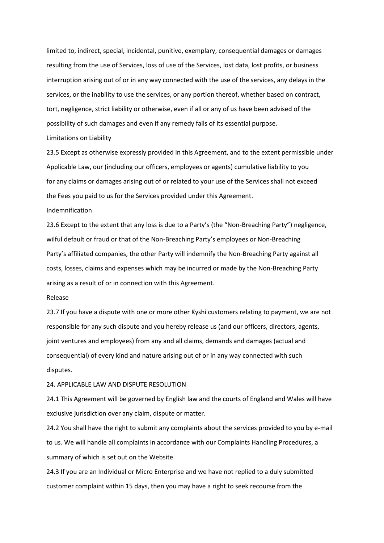limited to, indirect, special, incidental, punitive, exemplary, consequential damages or damages resulting from the use of Services, loss of use of the Services, lost data, lost profits, or business interruption arising out of or in any way connected with the use of the services, any delays in the services, or the inability to use the services, or any portion thereof, whether based on contract, tort, negligence, strict liability or otherwise, even if all or any of us have been advised of the possibility of such damages and even if any remedy fails of its essential purpose.

### Limitations on Liability

23.5 Except as otherwise expressly provided in this Agreement, and to the extent permissible under Applicable Law, our (including our officers, employees or agents) cumulative liability to you for any claims or damages arising out of or related to your use of the Services shall not exceed the Fees you paid to us for the Services provided under this Agreement.

### Indemnification

23.6 Except to the extent that any loss is due to a Party's (the "Non-Breaching Party") negligence, wilful default or fraud or that of the Non-Breaching Party's employees or Non-Breaching Party's affiliated companies, the other Party will indemnify the Non-Breaching Party against all costs, losses, claims and expenses which may be incurred or made by the Non-Breaching Party arising as a result of or in connection with this Agreement.

#### Release

23.7 If you have a dispute with one or more other Kyshi customers relating to payment, we are not responsible for any such dispute and you hereby release us (and our officers, directors, agents, joint ventures and employees) from any and all claims, demands and damages (actual and consequential) of every kind and nature arising out of or in any way connected with such disputes.

## 24. APPLICABLE LAW AND DISPUTE RESOLUTION

24.1 This Agreement will be governed by English law and the courts of England and Wales will have exclusive jurisdiction over any claim, dispute or matter.

24.2 You shall have the right to submit any complaints about the services provided to you by e-mail to us. We will handle all complaints in accordance with our Complaints Handling Procedures, a summary of which is set out on the Website.

24.3 If you are an Individual or Micro Enterprise and we have not replied to a duly submitted customer complaint within 15 days, then you may have a right to seek recourse from the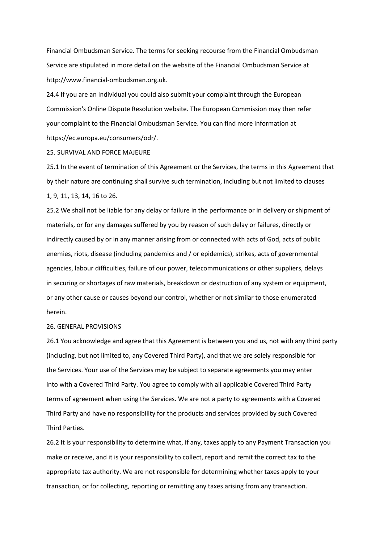Financial Ombudsman Service. The terms for seeking recourse from the Financial Ombudsman Service are stipulated in more detail on the website of the Financial Ombudsman Service at http://www.financial-ombudsman.org.uk.

24.4 If you are an Individual you could also submit your complaint through the European Commission's Online Dispute Resolution website. The European Commission may then refer your complaint to the Financial Ombudsman Service. You can find more information at https://ec.europa.eu/consumers/odr/.

## 25. SURVIVAL AND FORCE MAJEURE

25.1 In the event of termination of this Agreement or the Services, the terms in this Agreement that by their nature are continuing shall survive such termination, including but not limited to clauses 1, 9, 11, 13, 14, 16 to 26.

25.2 We shall not be liable for any delay or failure in the performance or in delivery or shipment of materials, or for any damages suffered by you by reason of such delay or failures, directly or indirectly caused by or in any manner arising from or connected with acts of God, acts of public enemies, riots, disease (including pandemics and / or epidemics), strikes, acts of governmental agencies, labour difficulties, failure of our power, telecommunications or other suppliers, delays in securing or shortages of raw materials, breakdown or destruction of any system or equipment, or any other cause or causes beyond our control, whether or not similar to those enumerated herein.

#### 26. GENERAL PROVISIONS

26.1 You acknowledge and agree that this Agreement is between you and us, not with any third party (including, but not limited to, any Covered Third Party), and that we are solely responsible for the Services. Your use of the Services may be subject to separate agreements you may enter into with a Covered Third Party. You agree to comply with all applicable Covered Third Party terms of agreement when using the Services. We are not a party to agreements with a Covered Third Party and have no responsibility for the products and services provided by such Covered Third Parties.

26.2 It is your responsibility to determine what, if any, taxes apply to any Payment Transaction you make or receive, and it is your responsibility to collect, report and remit the correct tax to the appropriate tax authority. We are not responsible for determining whether taxes apply to your transaction, or for collecting, reporting or remitting any taxes arising from any transaction.